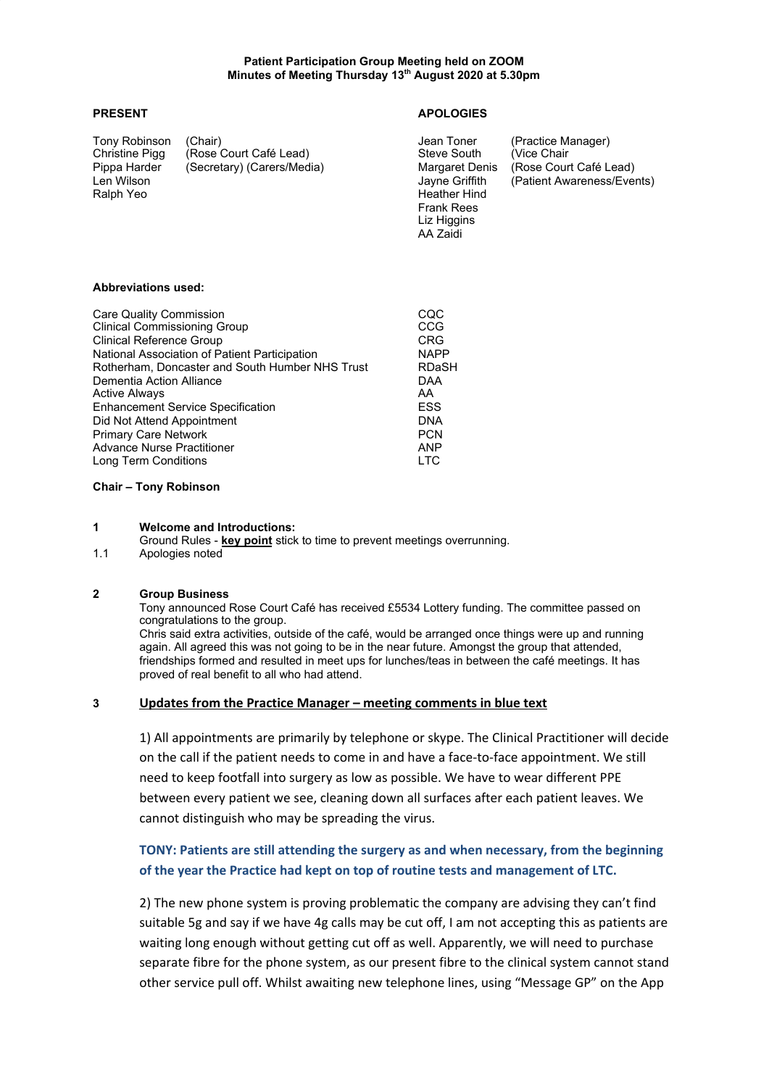Ralph Yeo **Heather Hind** 

Tony Robinson (Chair)<br>
Christine Pigg (Rose Court Café Lead) Steve South (Vice Chair (Vice Chair Christine Pigg (Rose Court Café Lead) Steve South (Vice Chair Pippa Harder (Secretary) (Carers/Media) Margaret Denis (Rose Court Care Court Care Court Care Court Care Court

## **PRESENT APOLOGIES**

Frank Rees Liz Higgins AA Zaidi

Len Wilson Jayne Griffith (Patient Awareness/Events)

#### **Abbreviations used:**

| <b>Care Quality Commission</b><br><b>Clinical Commissioning Group</b> | CQC<br>CCG   |
|-----------------------------------------------------------------------|--------------|
| <b>Clinical Reference Group</b>                                       | <b>CRG</b>   |
| National Association of Patient Participation                         | <b>NAPP</b>  |
| Rotherham, Doncaster and South Humber NHS Trust                       | <b>RDaSH</b> |
| Dementia Action Alliance                                              | <b>DAA</b>   |
| <b>Active Always</b>                                                  | AA           |
| <b>Enhancement Service Specification</b>                              | <b>ESS</b>   |
| Did Not Attend Appointment                                            | <b>DNA</b>   |
| <b>Primary Care Network</b>                                           | <b>PCN</b>   |
| <b>Advance Nurse Practitioner</b>                                     | <b>ANP</b>   |
| Long Term Conditions                                                  | <b>LTC</b>   |

#### **Chair – Tony Robinson**

#### **1 Welcome and Introductions:**

- Ground Rules **key point** stick to time to prevent meetings overrunning.
- 1.1 Apologies noted

## **2 Group Business**

Tony announced Rose Court Café has received £5534 Lottery funding. The committee passed on congratulations to the group.

Chris said extra activities, outside of the café, would be arranged once things were up and running again. All agreed this was not going to be in the near future. Amongst the group that attended, friendships formed and resulted in meet ups for lunches/teas in between the café meetings. It has proved of real benefit to all who had attend.

#### **3 Updates from the Practice Manager – meeting comments in blue text**

1) All appointments are primarily by telephone or skype. The Clinical Practitioner will decide on the call if the patient needs to come in and have a face-to-face appointment. We still need to keep footfall into surgery as low as possible. We have to wear different PPE between every patient we see, cleaning down all surfaces after each patient leaves. We cannot distinguish who may be spreading the virus.

# **TONY: Patients are still attending the surgery as and when necessary, from the beginning of the year the Practice had kept on top of routine tests and management of LTC.**

2) The new phone system is proving problematic the company are advising they can't find suitable 5g and say if we have 4g calls may be cut off, I am not accepting this as patients are waiting long enough without getting cut off as well. Apparently, we will need to purchase separate fibre for the phone system, as our present fibre to the clinical system cannot stand other service pull off. Whilst awaiting new telephone lines, using "Message GP" on the App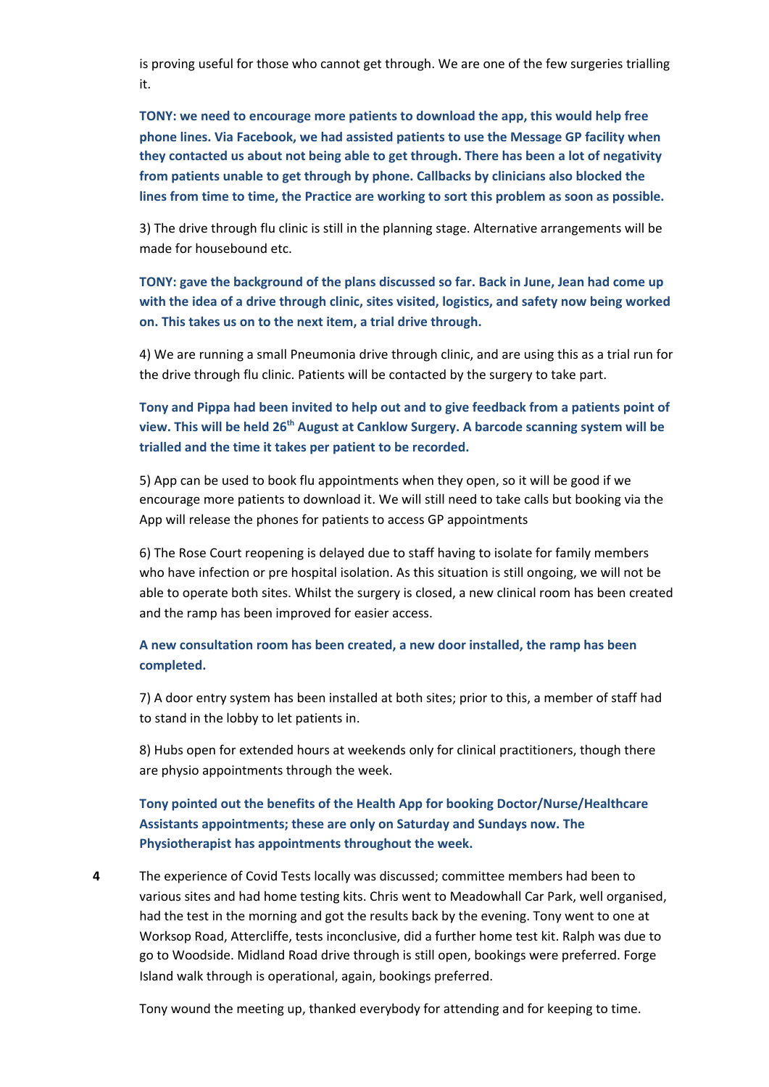is proving useful for those who cannot get through. We are one of the few surgeries trialling it.

**TONY: we need to encourage more patients to download the app, this would help free phone lines. Via Facebook, we had assisted patients to use the Message GP facility when they contacted us about not being able to get through. There has been a lot of negativity from patients unable to get through by phone. Callbacks by clinicians also blocked the lines from time to time, the Practice are working to sort this problem as soon as possible.**

3) The drive through flu clinic is still in the planning stage. Alternative arrangements will be made for housebound etc.

**TONY: gave the background of the plans discussed so far. Back in June, Jean had come up with the idea of a drive through clinic, sites visited, logistics, and safety now being worked on. This takes us on to the next item, a trial drive through.**

4) We are running a small Pneumonia drive through clinic, and are using this as a trial run for the drive through flu clinic. Patients will be contacted by the surgery to take part.

**Tony and Pippa had been invited to help out and to give feedback from a patients point of view. This will be held 26 th August at Canklow Surgery. A barcode scanning system will be trialled and the time it takes per patient to be recorded.**

5) App can be used to book flu appointments when they open, so it will be good if we encourage more patients to download it. We will still need to take calls but booking via the App will release the phones for patients to access GP appointments

6) The Rose Court reopening is delayed due to staff having to isolate for family members who have infection or pre hospital isolation. As this situation is still ongoing, we will not be able to operate both sites. Whilst the surgery is closed, a new clinical room has been created and the ramp has been improved for easier access.

## **A new consultation room has been created, a new door installed, the ramp has been completed.**

7) A door entry system has been installed at both sites; prior to this, a member of staff had to stand in the lobby to let patients in.

8) Hubs open for extended hours at weekends only for clinical practitioners, though there are physio appointments through the week.

**Tony pointed out the benefits of the Health App for booking Doctor/Nurse/Healthcare Assistants appointments; these are only on Saturday and Sundays now. The Physiotherapist has appointments throughout the week.**

**4** The experience of Covid Tests locally was discussed; committee members had been to various sites and had home testing kits. Chris went to Meadowhall Car Park, well organised, had the test in the morning and got the results back by the evening. Tony went to one at Worksop Road, Attercliffe, tests inconclusive, did a further home test kit. Ralph was due to go to Woodside. Midland Road drive through is still open, bookings were preferred. Forge Island walk through is operational, again, bookings preferred.

Tony wound the meeting up, thanked everybody for attending and for keeping to time.